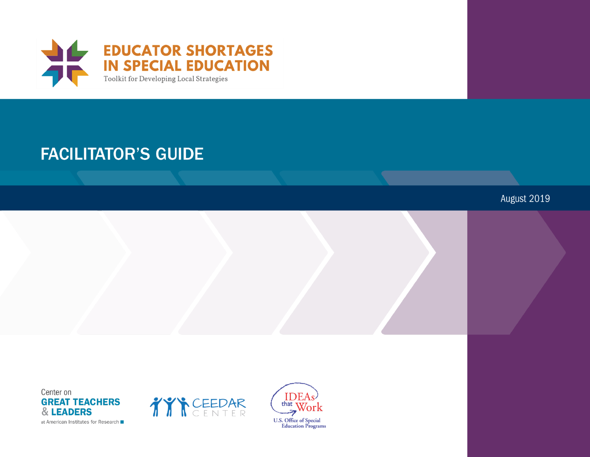

# **FACILITATOR'S GUIDE**

August 2019

Center on **GREAT TEACHERS** & LEADERS at American Institutes for Research



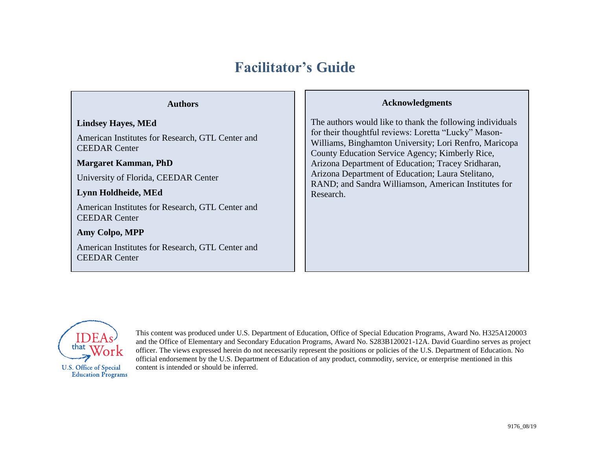## **Facilitator's Guide**

### **Authors**

### **Lindsey Hayes, MEd**

American Institutes for Research, GTL Center and CEEDAR Center

**Margaret Kamman, PhD**

University of Florida, CEEDAR Center

### **Lynn Holdheide, MEd**

American Institutes for Research, GTL Center and CEEDAR Center

**Amy Colpo, MPP**

American Institutes for Research, GTL Center and CEEDAR Center

### **Acknowledgments**

The authors would like to thank the following individuals for their thoughtful reviews: Loretta "Lucky" Mason-Williams, Binghamton University; Lori Renfro, Maricopa County Education Service Agency; Kimberly Rice, Arizona Department of Education; Tracey Sridharan, Arizona Department of Education; Laura Stelitano, RAND; and Sandra Williamson, American Institutes for Research.



This content was produced under U.S. Department of Education, Office of Special Education Programs, Award No. H325A120003 and the Office of Elementary and Secondary Education Programs, Award No. S283B120021-12A. David Guardino serves as project officer. The views expressed herein do not necessarily represent the positions or policies of the U.S. Department of Education. No official endorsement by the U.S. Department of Education of any product, commodity, service, or enterprise mentioned in this content is intended or should be inferred.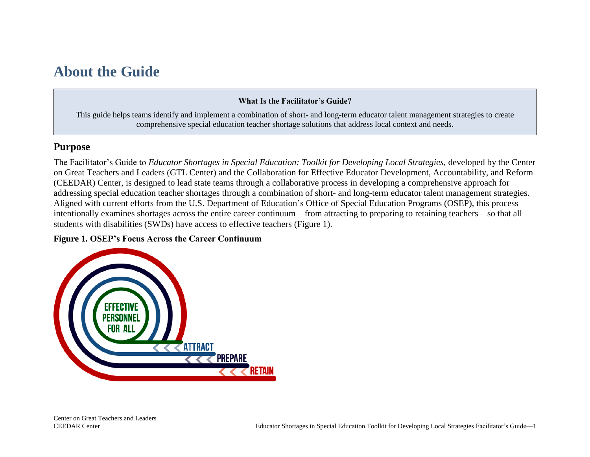## <span id="page-3-0"></span>**About the Guide**

### **What Is the Facilitator's Guide?**

This guide helps teams identify and implement a combination of short- and long-term educator talent management strategies to create comprehensive special education teacher shortage solutions that address local context and needs.

## <span id="page-3-1"></span>**Purpose**

The Facilitator's Guide to *Educator Shortages in Special Education: Toolkit for Developing Local Strategies, developed by the Center* on Great Teachers and Leaders (GTL Center) and the Collaboration for Effective Educator Development, Accountability, and Reform (CEEDAR) Center, is designed to lead state teams through a collaborative process in developing a comprehensive approach for addressing special education teacher shortages through a combination of short- and long-term educator talent management strategies. Aligned with current efforts from the U.S. Department of Education's Office of Special Education Programs (OSEP), this process intentionally examines shortages across the entire career continuum—from attracting to preparing to retaining teachers—so that all students with disabilities (SWDs) have access to effective teachers (Figure 1).

### **Figure 1. OSEP's Focus Across the Career Continuum**

<span id="page-3-2"></span>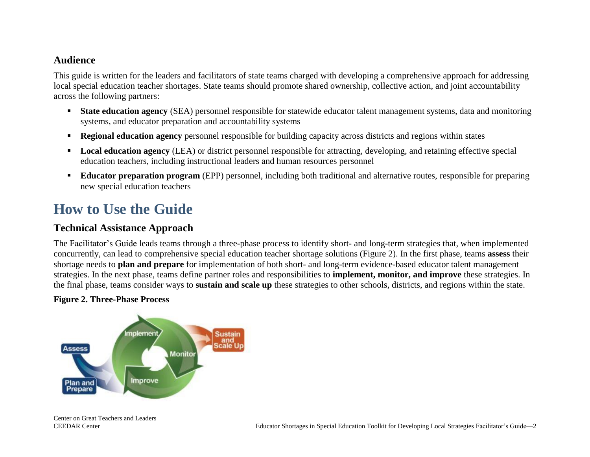## **Audience**

This guide is written for the leaders and facilitators of state teams charged with developing a comprehensive approach for addressing local special education teacher shortages. State teams should promote shared ownership, collective action, and joint accountability across the following partners:

- **Example 3 State education agency** (SEA) personnel responsible for statewide educator talent management systems, data and monitoring systems, and educator preparation and accountability systems
- **Regional education agency** personnel responsible for building capacity across districts and regions within states
- **Local education agency** (LEA) or district personnel responsible for attracting, developing, and retaining effective special education teachers, including instructional leaders and human resources personnel
- **Educator preparation program** (EPP) personnel, including both traditional and alternative routes, responsible for preparing new special education teachers

## <span id="page-4-0"></span>**How to Use the Guide**

## <span id="page-4-1"></span>**Technical Assistance Approach**

The Facilitator's Guide leads teams through a three-phase process to identify short- and long-term strategies that, when implemented concurrently, can lead to comprehensive special education teacher shortage solutions (Figure 2). In the first phase, teams **assess** their shortage needs to **plan and prepare** for implementation of both short- and long-term evidence-based educator talent management strategies. In the next phase, teams define partner roles and responsibilities to **implement, monitor, and improve** these strategies. In the final phase, teams consider ways to **sustain and scale up** these strategies to other schools, districts, and regions within the state.

### **Figure 2. Three-Phase Process**

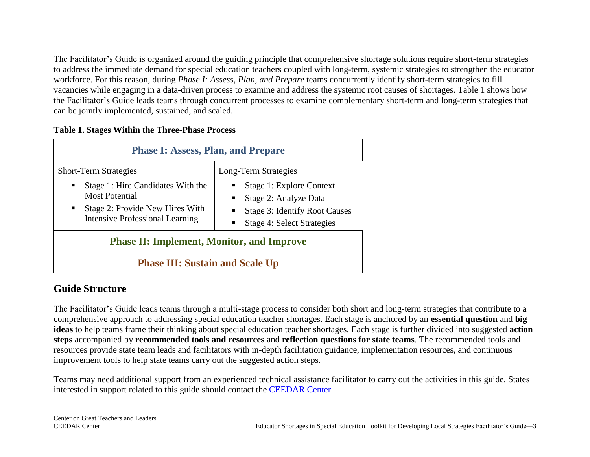The Facilitator's Guide is organized around the guiding principle that comprehensive shortage solutions require short-term strategies to address the immediate demand for special education teachers coupled with long-term, systemic strategies to strengthen the educator workforce. For this reason, during *Phase I: Assess, Plan, and Prepare* teams concurrently identify short-term strategies to fill vacancies while engaging in a data-driven process to examine and address the systemic root causes of shortages. Table 1 shows how the Facilitator's Guide leads teams through concurrent processes to examine complementary short-term and long-term strategies that can be jointly implemented, sustained, and scaled.

### **Table 1. Stages Within the Three-Phase Process**

| <b>Phase I: Assess, Plan, and Prepare</b>                                                                                                                                                 |                                                                                                                                                                |  |
|-------------------------------------------------------------------------------------------------------------------------------------------------------------------------------------------|----------------------------------------------------------------------------------------------------------------------------------------------------------------|--|
| <b>Short-Term Strategies</b><br>Stage 1: Hire Candidates With the<br><b>Most Potential</b><br>Stage 2: Provide New Hires With<br>$\blacksquare$<br><b>Intensive Professional Learning</b> | Long-Term Strategies<br>Stage 1: Explore Context<br>Stage 2: Analyze Data<br>٠<br><b>Stage 3: Identify Root Causes</b><br>٠<br>Stage 4: Select Strategies<br>٠ |  |
| <b>Phase II: Implement, Monitor, and Improve</b>                                                                                                                                          |                                                                                                                                                                |  |
| <b>Phase III: Sustain and Scale Up</b>                                                                                                                                                    |                                                                                                                                                                |  |

## <span id="page-5-0"></span>**Guide Structure**

The Facilitator's Guide leads teams through a multi-stage process to consider both short and long-term strategies that contribute to a comprehensive approach to addressing special education teacher shortages. Each stage is anchored by an **essential question** and **big ideas** to help teams frame their thinking about special education teacher shortages. Each stage is further divided into suggested **action steps** accompanied by **recommended tools and resources** and **reflection questions for state teams**. The recommended tools and resources provide state team leads and facilitators with in-depth facilitation guidance, implementation resources, and continuous improvement tools to help state teams carry out the suggested action steps.

Teams may need additional support from an experienced technical assistance facilitator to carry out the activities in this guide. States interested in support related to this guide should contact the [CEEDAR Center.](http://ceedar.education.ufl.edu/contact/)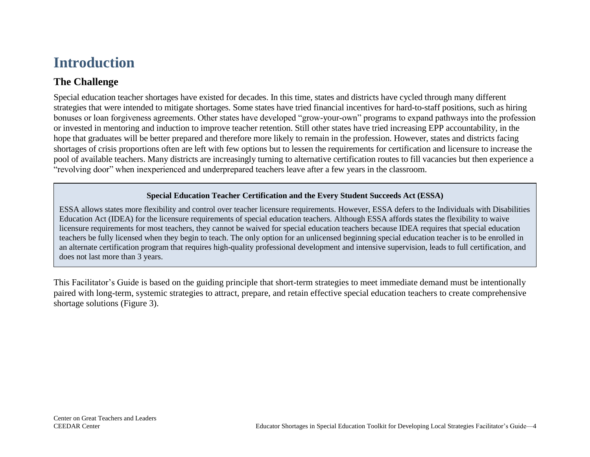## <span id="page-6-0"></span>**Introduction**

## <span id="page-6-1"></span>**The Challenge**

Special education teacher shortages have existed for decades. In this time, states and districts have cycled through many different strategies that were intended to mitigate shortages. Some states have tried financial incentives for hard-to-staff positions, such as hiring bonuses or loan forgiveness agreements. Other states have developed "grow-your-own" programs to expand pathways into the profession or invested in mentoring and induction to improve teacher retention. Still other states have tried increasing EPP accountability, in the hope that graduates will be better prepared and therefore more likely to remain in the profession. However, states and districts facing shortages of crisis proportions often are left with few options but to lessen the requirements for certification and licensure to increase the pool of available teachers. Many districts are increasingly turning to alternative certification routes to fill vacancies but then experience a "revolving door" when inexperienced and underprepared teachers leave after a few years in the classroom.

### **Special Education Teacher Certification and the Every Student Succeeds Act (ESSA)**

ESSA allows states more flexibility and control over teacher licensure requirements. However, ESSA defers to the Individuals with Disabilities Education Act (IDEA) for the licensure requirements of special education teachers. Although ESSA affords states the flexibility to waive licensure requirements for most teachers, they cannot be waived for special education teachers because IDEA requires that special education teachers be fully licensed when they begin to teach. The only option for an unlicensed beginning special education teacher is to be enrolled in an alternate certification program that requires high-quality professional development and intensive supervision, leads to full certification, and does not last more than 3 years.

This Facilitator's Guide is based on the guiding principle that short-term strategies to meet immediate demand must be intentionally paired with long-term, systemic strategies to attract, prepare, and retain effective special education teachers to create comprehensive shortage solutions (Figure 3).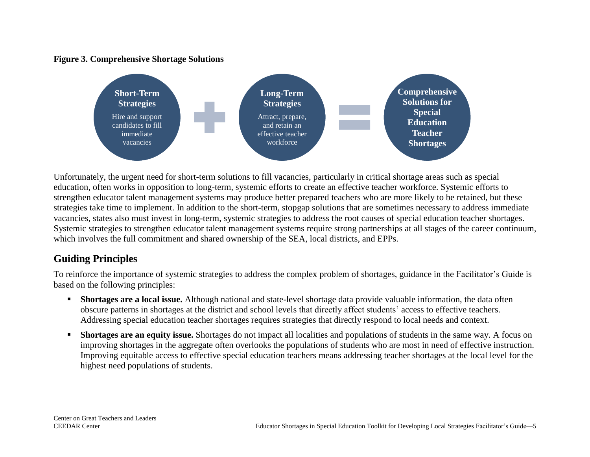### **Figure 3. Comprehensive Shortage Solutions**



Unfortunately, the urgent need for short-term solutions to fill vacancies, particularly in critical shortage areas such as special education, often works in opposition to long-term, systemic efforts to create an effective teacher workforce. Systemic efforts to strengthen educator talent management systems may produce better prepared teachers who are more likely to be retained, but these strategies take time to implement. In addition to the short-term, stopgap solutions that are sometimes necessary to address immediate vacancies, states also must invest in long-term, systemic strategies to address the root causes of special education teacher shortages. Systemic strategies to strengthen educator talent management systems require strong partnerships at all stages of the career continuum, which involves the full commitment and shared ownership of the SEA, local districts, and EPPs.

## <span id="page-7-0"></span>**Guiding Principles**

To reinforce the importance of systemic strategies to address the complex problem of shortages, guidance in the Facilitator's Guide is based on the following principles:

- **EXECTE 2.5 Interpretional issume.** Although national and state-level shortage data provide valuable information, the data often obscure patterns in shortages at the district and school levels that directly affect students' access to effective teachers. Addressing special education teacher shortages requires strategies that directly respond to local needs and context.
- **EXECUTE:** Shortages are an equity issue. Shortages do not impact all localities and populations of students in the same way. A focus on improving shortages in the aggregate often overlooks the populations of students who are most in need of effective instruction. Improving equitable access to effective special education teachers means addressing teacher shortages at the local level for the highest need populations of students.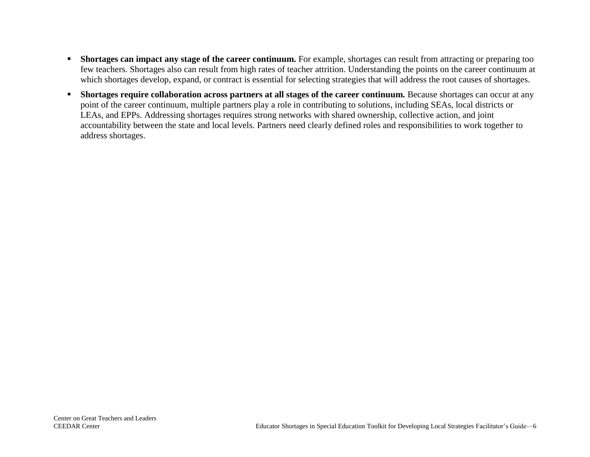- **EXECUTE:** Shortages can impact any stage of the career continuum. For example, shortages can result from attracting or preparing too few teachers. Shortages also can result from high rates of teacher attrition. Understanding the points on the career continuum at which shortages develop, expand, or contract is essential for selecting strategies that will address the root causes of shortages.
- **EXECUTE:** Shortages require collaboration across partners at all stages of the career continuum. Because shortages can occur at any point of the career continuum, multiple partners play a role in contributing to solutions, including SEAs, local districts or LEAs, and EPPs. Addressing shortages requires strong networks with shared ownership, collective action, and joint accountability between the state and local levels. Partners need clearly defined roles and responsibilities to work together to address shortages.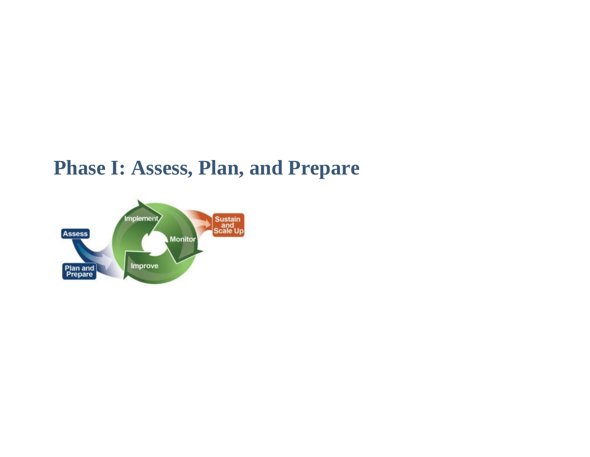# <span id="page-9-0"></span>**Phase I: Assess, Plan, and Prepare**

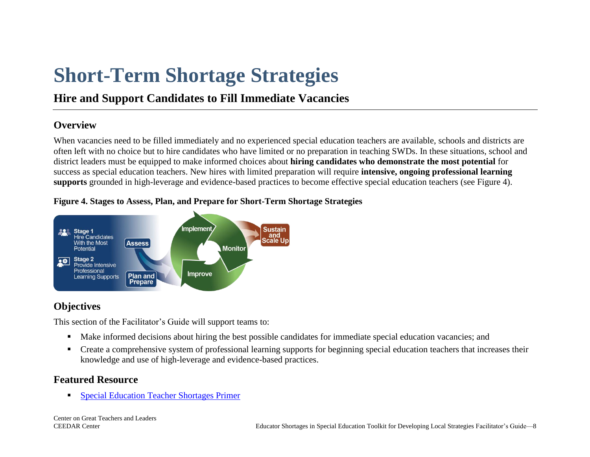# <span id="page-10-0"></span>**Short-Term Shortage Strategies**

## **Hire and Support Candidates to Fill Immediate Vacancies**

## **Overview**

When vacancies need to be filled immediately and no experienced special education teachers are available, schools and districts are often left with no choice but to hire candidates who have limited or no preparation in teaching SWDs. In these situations, school and district leaders must be equipped to make informed choices about **hiring candidates who demonstrate the most potential** for success as special education teachers. New hires with limited preparation will require **intensive, ongoing professional learning supports** grounded in high-leverage and evidence-based practices to become effective special education teachers (see Figure 4).

## **Figure 4. Stages to Assess, Plan, and Prepare for Short-Term Shortage Strategies**



## **Objectives**

This section of the Facilitator's Guide will support teams to:

- Make informed decisions about hiring the best possible candidates for immediate special education vacancies; and
- **•** Create a comprehensive system of professional learning supports for beginning special education teachers that increases their knowledge and use of high-leverage and evidence-based practices.

## **Featured Resource**

■ Special [Education Teacher Shortages Primer](https://gtlcenter.org/technical-assistance/toolkits/educator-shortages-special-education/shortage-primer)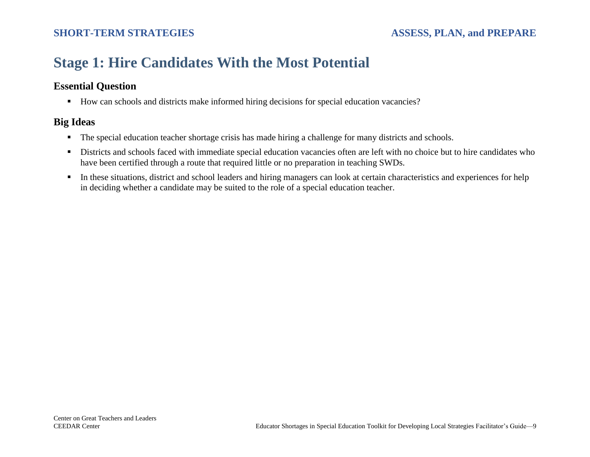## <span id="page-11-0"></span>**Stage 1: Hire Candidates With the Most Potential**

## **Essential Question**

■ How can schools and districts make informed hiring decisions for special education vacancies?

- The special education teacher shortage crisis has made hiring a challenge for many districts and schools.
- **EXECUTE:** Districts and schools faced with immediate special education vacancies often are left with no choice but to hire candidates who have been certified through a route that required little or no preparation in teaching SWDs.
- **IF** In these situations, district and school leaders and hiring managers can look at certain characteristics and experiences for help in deciding whether a candidate may be suited to the role of a special education teacher.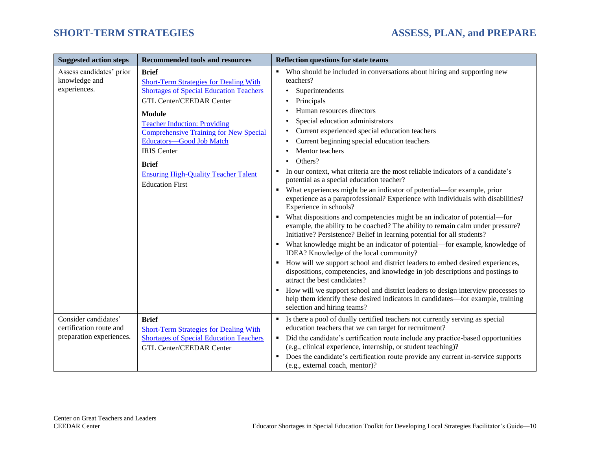| <b>Suggested action steps</b>                                               | <b>Recommended tools and resources</b>                                                                                                                                                                                                                                                                                                                                                                 | <b>Reflection questions for state teams</b>                                                                                                                                                                                                                                                                                                                                                                                                                                                                                                                                                                                                                                                                                                                                                                                                                                                                                                                                                                                                                                                                                                                                                                                                                                                                                                                                                                                                 |
|-----------------------------------------------------------------------------|--------------------------------------------------------------------------------------------------------------------------------------------------------------------------------------------------------------------------------------------------------------------------------------------------------------------------------------------------------------------------------------------------------|---------------------------------------------------------------------------------------------------------------------------------------------------------------------------------------------------------------------------------------------------------------------------------------------------------------------------------------------------------------------------------------------------------------------------------------------------------------------------------------------------------------------------------------------------------------------------------------------------------------------------------------------------------------------------------------------------------------------------------------------------------------------------------------------------------------------------------------------------------------------------------------------------------------------------------------------------------------------------------------------------------------------------------------------------------------------------------------------------------------------------------------------------------------------------------------------------------------------------------------------------------------------------------------------------------------------------------------------------------------------------------------------------------------------------------------------|
| Assess candidates' prior<br>knowledge and<br>experiences.                   | <b>Brief</b><br><b>Short-Term Strategies for Dealing With</b><br><b>Shortages of Special Education Teachers</b><br><b>GTL Center/CEEDAR Center</b><br><b>Module</b><br><b>Teacher Induction: Providing</b><br><b>Comprehensive Training for New Special</b><br>Educators-Good Job Match<br><b>IRIS</b> Center<br><b>Brief</b><br><b>Ensuring High-Quality Teacher Talent</b><br><b>Education First</b> | • Who should be included in conversations about hiring and supporting new<br>teachers?<br>Superintendents<br>Principals<br>Human resources directors<br>Special education administrators<br>Current experienced special education teachers<br>Current beginning special education teachers<br>Mentor teachers<br>Others?<br>In our context, what criteria are the most reliable indicators of a candidate's<br>٠<br>potential as a special education teacher?<br>What experiences might be an indicator of potential—for example, prior<br>٠<br>experience as a paraprofessional? Experience with individuals with disabilities?<br>Experience in schools?<br>What dispositions and competencies might be an indicator of potential—for<br>example, the ability to be coached? The ability to remain calm under pressure?<br>Initiative? Persistence? Belief in learning potential for all students?<br>What knowledge might be an indicator of potential-for example, knowledge of<br>IDEA? Knowledge of the local community?<br>How will we support school and district leaders to embed desired experiences,<br>٠<br>dispositions, competencies, and knowledge in job descriptions and postings to<br>attract the best candidates?<br>How will we support school and district leaders to design interview processes to<br>help them identify these desired indicators in candidates—for example, training<br>selection and hiring teams? |
| Consider candidates'<br>certification route and<br>preparation experiences. | <b>Brief</b><br><b>Short-Term Strategies for Dealing With</b><br><b>Shortages of Special Education Teachers</b><br><b>GTL Center/CEEDAR Center</b>                                                                                                                                                                                                                                                     | Is there a pool of dually certified teachers not currently serving as special<br>٠<br>education teachers that we can target for recruitment?<br>Did the candidate's certification route include any practice-based opportunities<br>(e.g., clinical experience, internship, or student teaching)?<br>Does the candidate's certification route provide any current in-service supports<br>٠<br>(e.g., external coach, mentor)?                                                                                                                                                                                                                                                                                                                                                                                                                                                                                                                                                                                                                                                                                                                                                                                                                                                                                                                                                                                                               |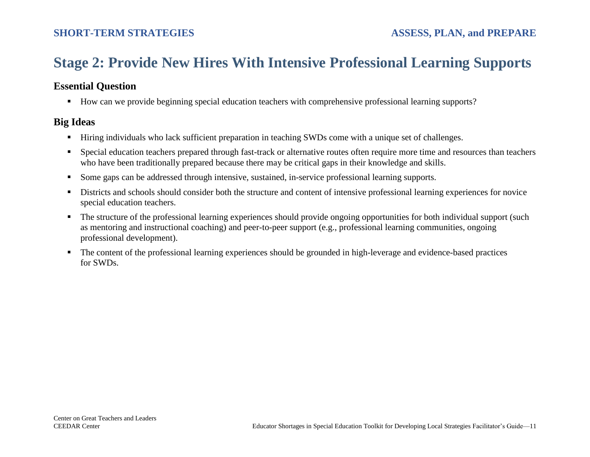## <span id="page-13-0"></span>**Stage 2: Provide New Hires With Intensive Professional Learning Supports**

## **Essential Question**

■ How can we provide beginning special education teachers with comprehensive professional learning supports?

- Hiring individuals who lack sufficient preparation in teaching SWDs come with a unique set of challenges.
- Special education teachers prepared through fast-track or alternative routes often require more time and resources than teachers who have been traditionally prepared because there may be critical gaps in their knowledge and skills.
- Some gaps can be addressed through intensive, sustained, in-service professional learning supports.
- Districts and schools should consider both the structure and content of intensive professional learning experiences for novice special education teachers.
- The structure of the professional learning experiences should provide ongoing opportunities for both individual support (such as mentoring and instructional coaching) and peer-to-peer support (e.g., professional learning communities, ongoing professional development).
- The content of the professional learning experiences should be grounded in high-leverage and evidence-based practices for SWDs.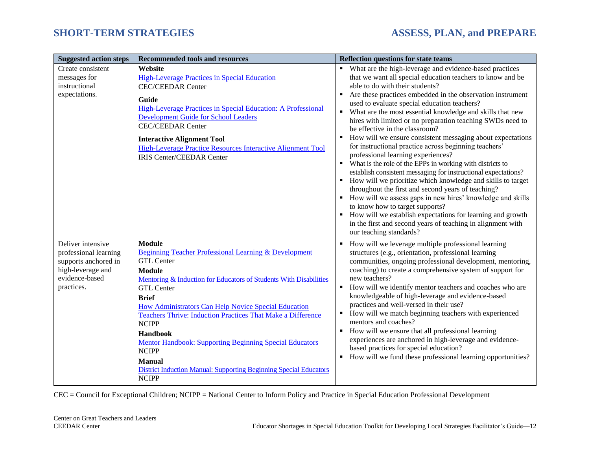| <b>Suggested action steps</b>                                                                                           | <b>Recommended tools and resources</b>                                                                                                                                                                                                                                                                                                                                                                                                                                                                                                                                                            | <b>Reflection questions for state teams</b>                                                                                                                                                                                                                                                                                                                                                                                                                                                                                                                                                                                                                                                                                                                                                                                                                                                                                                                                    |
|-------------------------------------------------------------------------------------------------------------------------|---------------------------------------------------------------------------------------------------------------------------------------------------------------------------------------------------------------------------------------------------------------------------------------------------------------------------------------------------------------------------------------------------------------------------------------------------------------------------------------------------------------------------------------------------------------------------------------------------|--------------------------------------------------------------------------------------------------------------------------------------------------------------------------------------------------------------------------------------------------------------------------------------------------------------------------------------------------------------------------------------------------------------------------------------------------------------------------------------------------------------------------------------------------------------------------------------------------------------------------------------------------------------------------------------------------------------------------------------------------------------------------------------------------------------------------------------------------------------------------------------------------------------------------------------------------------------------------------|
| Create consistent                                                                                                       | Website                                                                                                                                                                                                                                                                                                                                                                                                                                                                                                                                                                                           | • What are the high-leverage and evidence-based practices                                                                                                                                                                                                                                                                                                                                                                                                                                                                                                                                                                                                                                                                                                                                                                                                                                                                                                                      |
| messages for                                                                                                            | <b>High-Leverage Practices in Special Education</b>                                                                                                                                                                                                                                                                                                                                                                                                                                                                                                                                               | that we want all special education teachers to know and be                                                                                                                                                                                                                                                                                                                                                                                                                                                                                                                                                                                                                                                                                                                                                                                                                                                                                                                     |
| instructional                                                                                                           | <b>CEC/CEEDAR Center</b>                                                                                                                                                                                                                                                                                                                                                                                                                                                                                                                                                                          | able to do with their students?                                                                                                                                                                                                                                                                                                                                                                                                                                                                                                                                                                                                                                                                                                                                                                                                                                                                                                                                                |
| expectations.                                                                                                           | Guide<br>High-Leverage Practices in Special Education: A Professional<br>Development Guide for School Leaders<br><b>CEC/CEEDAR Center</b><br><b>Interactive Alignment Tool</b><br>High-Leverage Practice Resources Interactive Alignment Tool<br><b>IRIS Center/CEEDAR Center</b>                                                                                                                                                                                                                                                                                                                 | Are these practices embedded in the observation instrument<br>٠<br>used to evaluate special education teachers?<br>What are the most essential knowledge and skills that new<br>$\blacksquare$<br>hires with limited or no preparation teaching SWDs need to<br>be effective in the classroom?<br>How will we ensure consistent messaging about expectations<br>for instructional practice across beginning teachers'<br>professional learning experiences?<br>• What is the role of the EPPs in working with districts to<br>establish consistent messaging for instructional expectations?<br>How will we prioritize which knowledge and skills to target<br>throughout the first and second years of teaching?<br>• How will we assess gaps in new hires' knowledge and skills<br>to know how to target supports?<br>• How will we establish expectations for learning and growth<br>in the first and second years of teaching in alignment with<br>our teaching standards? |
| Deliver intensive<br>professional learning<br>supports anchored in<br>high-leverage and<br>evidence-based<br>practices. | <b>Module</b><br><b>Beginning Teacher Professional Learning &amp; Development</b><br><b>GTL Center</b><br><b>Module</b><br>Mentoring & Induction for Educators of Students With Disabilities<br><b>GTL Center</b><br><b>Brief</b><br>How Administrators Can Help Novice Special Education<br><b>Teachers Thrive: Induction Practices That Make a Difference</b><br><b>NCIPP</b><br><b>Handbook</b><br><b>Mentor Handbook: Supporting Beginning Special Educators</b><br><b>NCIPP</b><br><b>Manual</b><br><b>District Induction Manual: Supporting Beginning Special Educators</b><br><b>NCIPP</b> | How will we leverage multiple professional learning<br>structures (e.g., orientation, professional learning<br>communities, ongoing professional development, mentoring,<br>coaching) to create a comprehensive system of support for<br>new teachers?<br>How will we identify mentor teachers and coaches who are<br>knowledgeable of high-leverage and evidence-based<br>practices and well-versed in their use?<br>How will we match beginning teachers with experienced<br>mentors and coaches?<br>How will we ensure that all professional learning<br>experiences are anchored in high-leverage and evidence-<br>based practices for special education?<br>How will we fund these professional learning opportunities?<br>٠                                                                                                                                                                                                                                              |

CEC = Council for Exceptional Children; NCIPP = National Center to Inform Policy and Practice in Special Education Professional Development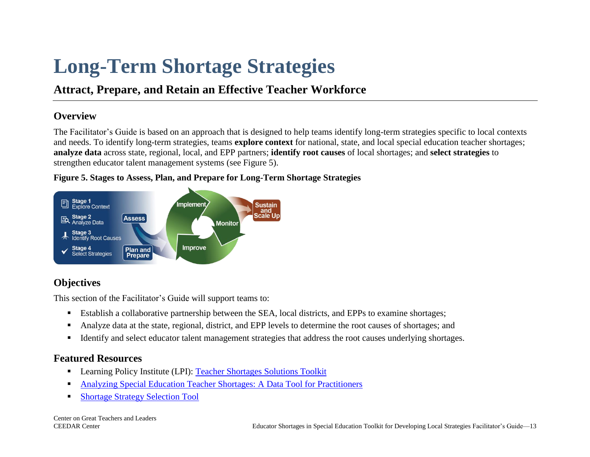# <span id="page-15-0"></span>**Long-Term Shortage Strategies**

## **Attract, Prepare, and Retain an Effective Teacher Workforce**

## **Overview**

The Facilitator's Guide is based on an approach that is designed to help teams identify long-term strategies specific to local contexts and needs. To identify long-term strategies, teams **explore context** for national, state, and local special education teacher shortages; **analyze data** across state, regional, local, and EPP partners; **identify root causes** of local shortages; and **select strategies** to strengthen educator talent management systems (see Figure 5).

### **Figure 5. Stages to Assess, Plan, and Prepare for Long-Term Shortage Strategies**



## **Objectives**

This section of the Facilitator's Guide will support teams to:

- Establish a collaborative partnership between the SEA, local districts, and EPPs to examine shortages;
- Analyze data at the state, regional, district, and EPP levels to determine the root causes of shortages; and
- Identify and select educator talent management strategies that address the root causes underlying shortages.

## **Featured Resources**

- Learning Policy Institute (LPI): [Teacher Shortages Solutions Toolkit](https://teachershortage.solutiontoolkit.org/#a)
- [Analyzing Special Education Teacher Shortages: A Data Tool for Practitioners](https://gtlcenter.org/technical-assistance/toolkits/educator-shortages-special-education/data-tool)
- [Shortage Strategy Selection Tool](https://gtlcenter.org/technical-assistance/toolkits/educator-shortages-special-education/selection-tool)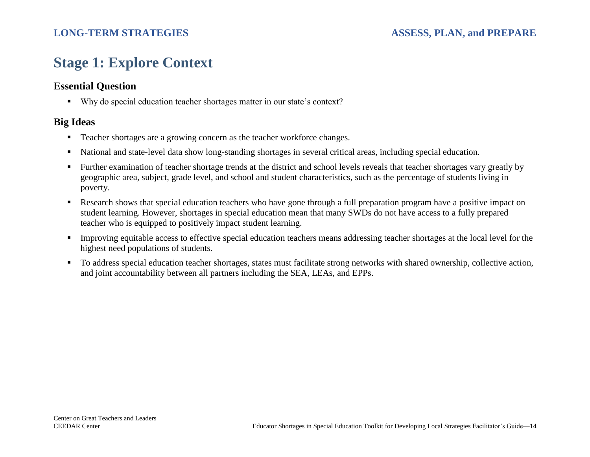## <span id="page-16-0"></span>**Stage 1: Explore Context**

## **Essential Question**

■ Why do special education teacher shortages matter in our state's context?

- Teacher shortages are a growing concern as the teacher workforce changes.
- National and state-level data show long-standing shortages in several critical areas, including special education.
- Further examination of teacher shortage trends at the district and school levels reveals that teacher shortages vary greatly by geographic area, subject, grade level, and school and student characteristics, such as the percentage of students living in poverty.
- Research shows that special education teachers who have gone through a full preparation program have a positive impact on student learning. However, shortages in special education mean that many SWDs do not have access to a fully prepared teacher who is equipped to positively impact student learning.
- **IMPROVING** equitable access to effective special education teachers means addressing teacher shortages at the local level for the highest need populations of students.
- To address special education teacher shortages, states must facilitate strong networks with shared ownership, collective action, and joint accountability between all partners including the SEA, LEAs, and EPPs.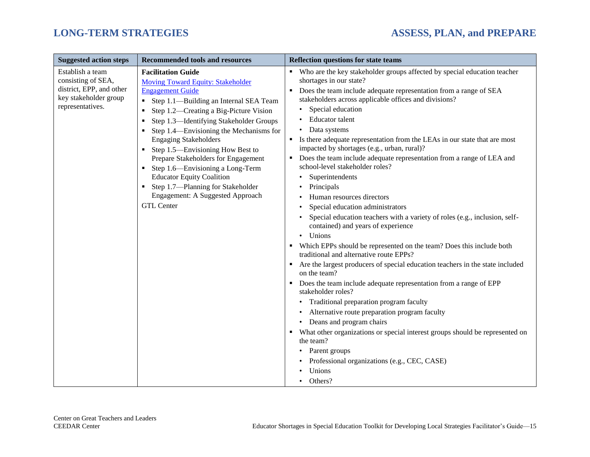| <b>Suggested action steps</b>                                                                                   | <b>Recommended tools and resources</b>                                                                                                                                                                                                                                                                                                                                                                                                                                                                                                                            | <b>Reflection questions for state teams</b>                                                                                                                                                                                                                                                                                                                                                                                                                                                                                                                                                                                                                                                                                                                                                                                                                                                                                                                                                                                                                                                                                                                                                                                                                                                                                                                                                                                       |
|-----------------------------------------------------------------------------------------------------------------|-------------------------------------------------------------------------------------------------------------------------------------------------------------------------------------------------------------------------------------------------------------------------------------------------------------------------------------------------------------------------------------------------------------------------------------------------------------------------------------------------------------------------------------------------------------------|-----------------------------------------------------------------------------------------------------------------------------------------------------------------------------------------------------------------------------------------------------------------------------------------------------------------------------------------------------------------------------------------------------------------------------------------------------------------------------------------------------------------------------------------------------------------------------------------------------------------------------------------------------------------------------------------------------------------------------------------------------------------------------------------------------------------------------------------------------------------------------------------------------------------------------------------------------------------------------------------------------------------------------------------------------------------------------------------------------------------------------------------------------------------------------------------------------------------------------------------------------------------------------------------------------------------------------------------------------------------------------------------------------------------------------------|
| Establish a team<br>consisting of SEA,<br>district, EPP, and other<br>key stakeholder group<br>representatives. | <b>Facilitation Guide</b><br><b>Moving Toward Equity: Stakeholder</b><br><b>Engagement Guide</b><br>• Step 1.1—Building an Internal SEA Team<br>Step 1.2—Creating a Big-Picture Vision<br>Step 1.3—Identifying Stakeholder Groups<br>Step 1.4—Envisioning the Mechanisms for<br><b>Engaging Stakeholders</b><br>Step 1.5—Envisioning How Best to<br>Prepare Stakeholders for Engagement<br>• Step 1.6—Envisioning a Long-Term<br><b>Educator Equity Coalition</b><br>• Step 1.7—Planning for Stakeholder<br>Engagement: A Suggested Approach<br><b>GTL Center</b> | • Who are the key stakeholder groups affected by special education teacher<br>shortages in our state?<br>Does the team include adequate representation from a range of SEA<br>٠<br>stakeholders across applicable offices and divisions?<br>Special education<br><b>Educator</b> talent<br>Data systems<br>$\bullet$<br>Is there adequate representation from the LEAs in our state that are most<br>٠<br>impacted by shortages (e.g., urban, rural)?<br>Does the team include adequate representation from a range of LEA and<br>school-level stakeholder roles?<br>Superintendents<br>Principals<br>Human resources directors<br>Special education administrators<br>Special education teachers with a variety of roles (e.g., inclusion, self-<br>contained) and years of experience<br>Unions<br>$\bullet$<br>Which EPPs should be represented on the team? Does this include both<br>traditional and alternative route EPPs?<br>Are the largest producers of special education teachers in the state included<br>٠<br>on the team?<br>Does the team include adequate representation from a range of EPP<br>٠<br>stakeholder roles?<br>• Traditional preparation program faculty<br>Alternative route preparation program faculty<br>• Deans and program chairs<br>What other organizations or special interest groups should be represented on<br>the team?<br>Parent groups<br>Professional organizations (e.g., CEC, CASE) |
|                                                                                                                 |                                                                                                                                                                                                                                                                                                                                                                                                                                                                                                                                                                   | Unions                                                                                                                                                                                                                                                                                                                                                                                                                                                                                                                                                                                                                                                                                                                                                                                                                                                                                                                                                                                                                                                                                                                                                                                                                                                                                                                                                                                                                            |
|                                                                                                                 |                                                                                                                                                                                                                                                                                                                                                                                                                                                                                                                                                                   | Others?<br>$\bullet$                                                                                                                                                                                                                                                                                                                                                                                                                                                                                                                                                                                                                                                                                                                                                                                                                                                                                                                                                                                                                                                                                                                                                                                                                                                                                                                                                                                                              |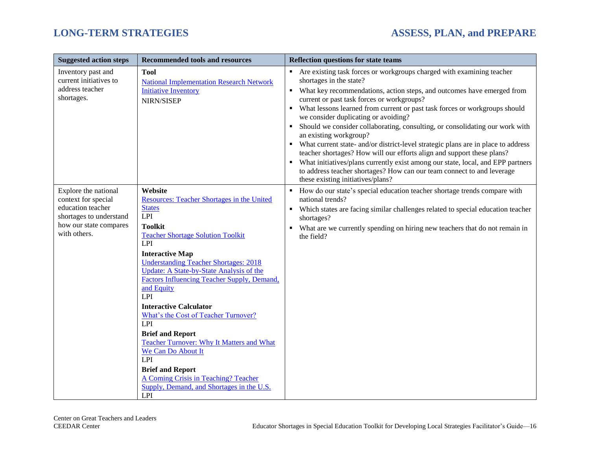| <b>Suggested action steps</b>                                                                                                         | <b>Recommended tools and resources</b>                                                                                                                                                                                                                                                                                                                                                                                                                                                                                                                                                                                                                          | <b>Reflection questions for state teams</b>                                                                                                                                                                                                                                                                                                                                                                                                                                                                                                                                                                                                                                                                                                                                                                                                 |
|---------------------------------------------------------------------------------------------------------------------------------------|-----------------------------------------------------------------------------------------------------------------------------------------------------------------------------------------------------------------------------------------------------------------------------------------------------------------------------------------------------------------------------------------------------------------------------------------------------------------------------------------------------------------------------------------------------------------------------------------------------------------------------------------------------------------|---------------------------------------------------------------------------------------------------------------------------------------------------------------------------------------------------------------------------------------------------------------------------------------------------------------------------------------------------------------------------------------------------------------------------------------------------------------------------------------------------------------------------------------------------------------------------------------------------------------------------------------------------------------------------------------------------------------------------------------------------------------------------------------------------------------------------------------------|
| Inventory past and<br>current initiatives to<br>address teacher<br>shortages.                                                         | <b>Tool</b><br><b>National Implementation Research Network</b><br><b>Initiative Inventory</b><br>NIRN/SISEP                                                                                                                                                                                                                                                                                                                                                                                                                                                                                                                                                     | Are existing task forces or workgroups charged with examining teacher<br>shortages in the state?<br>What key recommendations, action steps, and outcomes have emerged from<br>current or past task forces or workgroups?<br>What lessons learned from current or past task forces or workgroups should<br>we consider duplicating or avoiding?<br>Should we consider collaborating, consulting, or consolidating our work with<br>an existing workgroup?<br>What current state- and/or district-level strategic plans are in place to address<br>teacher shortages? How will our efforts align and support these plans?<br>What initiatives/plans currently exist among our state, local, and EPP partners<br>$\blacksquare$<br>to address teacher shortages? How can our team connect to and leverage<br>these existing initiatives/plans? |
| Explore the national<br>context for special<br>education teacher<br>shortages to understand<br>how our state compares<br>with others. | Website<br>Resources: Teacher Shortages in the United<br><b>States</b><br>LPI<br><b>Toolkit</b><br><b>Teacher Shortage Solution Toolkit</b><br>LPI<br><b>Interactive Map</b><br><b>Understanding Teacher Shortages: 2018</b><br>Update: A State-by-State Analysis of the<br>Factors Influencing Teacher Supply, Demand,<br>and Equity<br>LPI<br><b>Interactive Calculator</b><br>What's the Cost of Teacher Turnover?<br>LPI<br><b>Brief and Report</b><br><b>Teacher Turnover: Why It Matters and What</b><br>We Can Do About It<br>LPI<br><b>Brief and Report</b><br>A Coming Crisis in Teaching? Teacher<br>Supply, Demand, and Shortages in the U.S.<br>LPI | How do our state's special education teacher shortage trends compare with<br>٠<br>national trends?<br>Which states are facing similar challenges related to special education teacher<br>$\blacksquare$<br>shortages?<br>What are we currently spending on hiring new teachers that do not remain in<br>٠<br>the field?                                                                                                                                                                                                                                                                                                                                                                                                                                                                                                                     |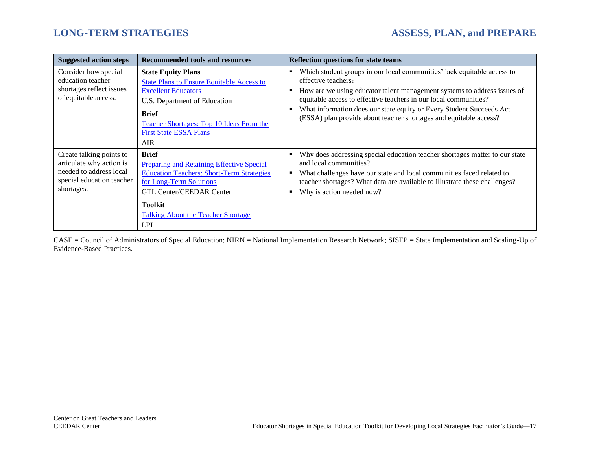| <b>Suggested action steps</b>                                                                                              | <b>Recommended tools and resources</b>                                                                                                                                                                                                                          | <b>Reflection questions for state teams</b>                                                                                                                                                                                                                                                                                                                                                      |
|----------------------------------------------------------------------------------------------------------------------------|-----------------------------------------------------------------------------------------------------------------------------------------------------------------------------------------------------------------------------------------------------------------|--------------------------------------------------------------------------------------------------------------------------------------------------------------------------------------------------------------------------------------------------------------------------------------------------------------------------------------------------------------------------------------------------|
| Consider how special<br>education teacher<br>shortages reflect issues<br>of equitable access.                              | <b>State Equity Plans</b><br><b>State Plans to Ensure Equitable Access to</b><br><b>Excellent Educators</b><br>U.S. Department of Education<br><b>Brief</b><br><b>Teacher Shortages: Top 10 Ideas From the</b><br><b>First State ESSA Plans</b><br><b>AIR</b>   | Which student groups in our local communities' lack equitable access to<br>effective teachers?<br>How are we using educator talent management systems to address issues of<br>equitable access to effective teachers in our local communities?<br>What information does our state equity or Every Student Succeeds Act<br>л<br>(ESSA) plan provide about teacher shortages and equitable access? |
| Create talking points to<br>articulate why action is<br>needed to address local<br>special education teacher<br>shortages. | <b>Brief</b><br><b>Preparing and Retaining Effective Special</b><br><b>Education Teachers: Short-Term Strategies</b><br>for Long-Term Solutions<br><b>GTL Center/CEEDAR Center</b><br><b>Toolkit</b><br><b>Talking About the Teacher Shortage</b><br><b>LPI</b> | Why does addressing special education teacher shortages matter to our state<br>п<br>and local communities?<br>What challenges have our state and local communities faced related to<br>teacher shortages? What data are available to illustrate these challenges?<br>Why is action needed now?                                                                                                   |

CASE = Council of Administrators of Special Education; NIRN = National Implementation Research Network; SISEP = State Implementation and Scaling-Up of Evidence-Based Practices.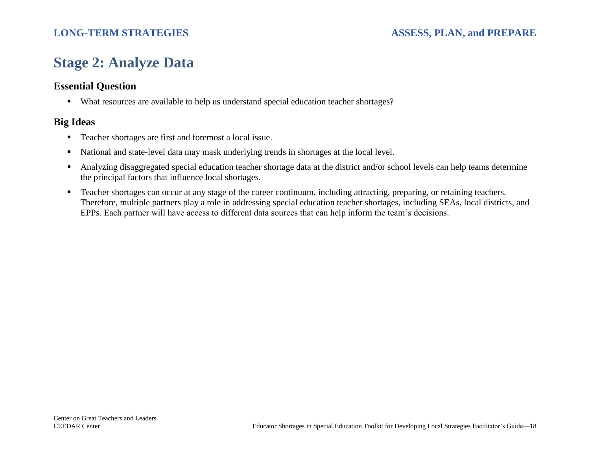## <span id="page-20-0"></span>**Stage 2: Analyze Data**

## **Essential Question**

■ What resources are available to help us understand special education teacher shortages?

- Teacher shortages are first and foremost a local issue.
- National and state-level data may mask underlying trends in shortages at the local level.
- Analyzing disaggregated special education teacher shortage data at the district and/or school levels can help teams determine the principal factors that influence local shortages.
- Teacher shortages can occur at any stage of the career continuum, including attracting, preparing, or retaining teachers. Therefore, multiple partners play a role in addressing special education teacher shortages, including SEAs, local districts, and EPPs. Each partner will have access to different data sources that can help inform the team's decisions.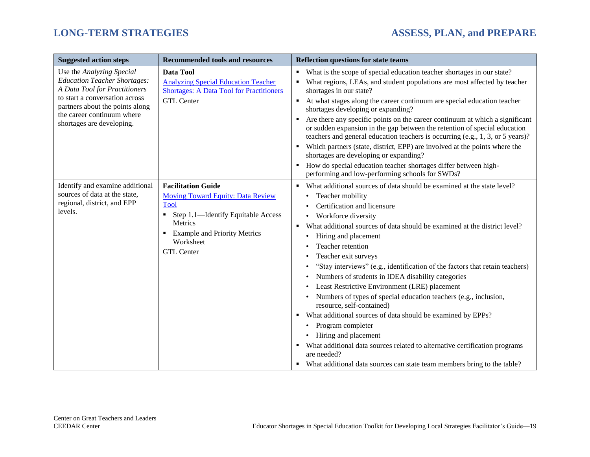| <b>Suggested action steps</b>                                                                                                                                                                                                     | <b>Recommended tools and resources</b>                                                                                                                                                                                          | <b>Reflection questions for state teams</b>                                                                                                                                                                                                                                                                                                                                                                                                                                                                                                                                                                                                                                                                                                                                                                                                                                                                                                        |
|-----------------------------------------------------------------------------------------------------------------------------------------------------------------------------------------------------------------------------------|---------------------------------------------------------------------------------------------------------------------------------------------------------------------------------------------------------------------------------|----------------------------------------------------------------------------------------------------------------------------------------------------------------------------------------------------------------------------------------------------------------------------------------------------------------------------------------------------------------------------------------------------------------------------------------------------------------------------------------------------------------------------------------------------------------------------------------------------------------------------------------------------------------------------------------------------------------------------------------------------------------------------------------------------------------------------------------------------------------------------------------------------------------------------------------------------|
| Use the Analyzing Special<br><b>Education Teacher Shortages:</b><br>A Data Tool for Practitioners<br>to start a conversation across<br>partners about the points along<br>the career continuum where<br>shortages are developing. | Data Tool<br><b>Analyzing Special Education Teacher</b><br><b>Shortages: A Data Tool for Practitioners</b><br><b>GTL Center</b>                                                                                                 | What is the scope of special education teacher shortages in our state?<br>٠<br>What regions, LEAs, and student populations are most affected by teacher<br>shortages in our state?<br>At what stages along the career continuum are special education teacher<br>٠<br>shortages developing or expanding?<br>Are there any specific points on the career continuum at which a significant<br>or sudden expansion in the gap between the retention of special education<br>teachers and general education teachers is occurring (e.g., 1, 3, or 5 years)?<br>Which partners (state, district, EPP) are involved at the points where the<br>shortages are developing or expanding?<br>How do special education teacher shortages differ between high-<br>$\blacksquare$<br>performing and low-performing schools for SWDs?                                                                                                                            |
| Identify and examine additional<br>sources of data at the state,<br>regional, district, and EPP<br>levels.                                                                                                                        | <b>Facilitation Guide</b><br><b>Moving Toward Equity: Data Review</b><br><b>Tool</b><br>Step 1.1-Identify Equitable Access<br>٠<br><b>Metrics</b><br><b>Example and Priority Metrics</b><br>٠<br>Worksheet<br><b>GTL</b> Center | What additional sources of data should be examined at the state level?<br>Teacher mobility<br>$\bullet$<br>Certification and licensure<br>Workforce diversity<br>$\bullet$<br>What additional sources of data should be examined at the district level?<br>Hiring and placement<br>$\bullet$<br>Teacher retention<br>$\bullet$<br>Teacher exit surveys<br>٠<br>"Stay interviews" (e.g., identification of the factors that retain teachers)<br>Numbers of students in IDEA disability categories<br>Least Restrictive Environment (LRE) placement<br>Numbers of types of special education teachers (e.g., inclusion,<br>resource, self-contained)<br>What additional sources of data should be examined by EPPs?<br>Program completer<br>٠<br>• Hiring and placement<br>What additional data sources related to alternative certification programs<br>٠<br>are needed?<br>What additional data sources can state team members bring to the table? |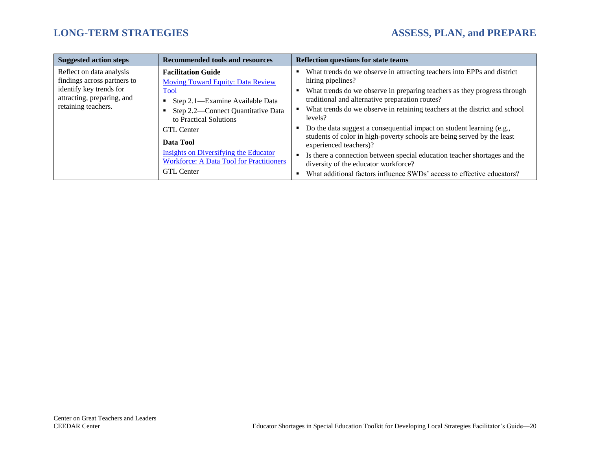| <b>Suggested action steps</b>                                                                                                           | <b>Recommended tools and resources</b>                                                                                                                                                                                                                                                                                                                 | <b>Reflection questions for state teams</b>                                                                                                                                                                                                                                                                                                                                                                                                                                                                                                                                                                                                                                                       |
|-----------------------------------------------------------------------------------------------------------------------------------------|--------------------------------------------------------------------------------------------------------------------------------------------------------------------------------------------------------------------------------------------------------------------------------------------------------------------------------------------------------|---------------------------------------------------------------------------------------------------------------------------------------------------------------------------------------------------------------------------------------------------------------------------------------------------------------------------------------------------------------------------------------------------------------------------------------------------------------------------------------------------------------------------------------------------------------------------------------------------------------------------------------------------------------------------------------------------|
| Reflect on data analysis<br>findings across partners to<br>identify key trends for<br>attracting, preparing, and<br>retaining teachers. | <b>Facilitation Guide</b><br><b>Moving Toward Equity: Data Review</b><br><b>Tool</b><br>Step 2.1—Examine Available Data<br>٠<br>Step 2.2—Connect Quantitative Data<br>to Practical Solutions<br><b>GTL</b> Center<br>Data Tool<br><b>Insights on Diversifying the Educator</b><br><b>Workforce: A Data Tool for Practitioners</b><br><b>GTL</b> Center | What trends do we observe in attracting teachers into EPPs and district<br>hiring pipelines?<br>What trends do we observe in preparing teachers as they progress through<br>traditional and alternative preparation routes?<br>What trends do we observe in retaining teachers at the district and school<br>levels?<br>Do the data suggest a consequential impact on student learning (e.g.,<br>students of color in high-poverty schools are being served by the least<br>experienced teachers)?<br>Is there a connection between special education teacher shortages and the<br>diversity of the educator workforce?<br>What additional factors influence SWDs' access to effective educators? |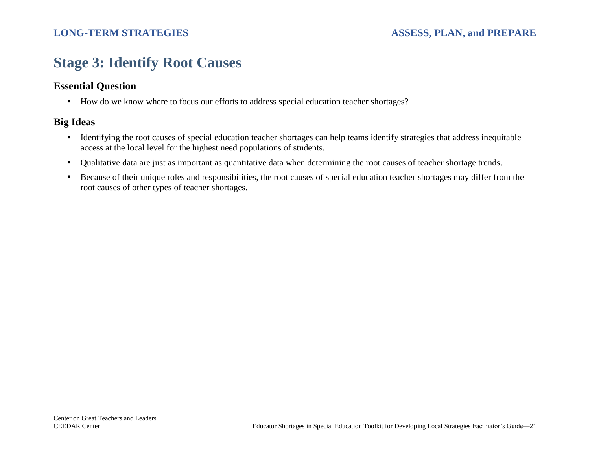## <span id="page-23-0"></span>**Stage 3: Identify Root Causes**

## **Essential Question**

■ How do we know where to focus our efforts to address special education teacher shortages?

- Identifying the root causes of special education teacher shortages can help teams identify strategies that address inequitable access at the local level for the highest need populations of students.
- Qualitative data are just as important as quantitative data when determining the root causes of teacher shortage trends.
- Because of their unique roles and responsibilities, the root causes of special education teacher shortages may differ from the root causes of other types of teacher shortages.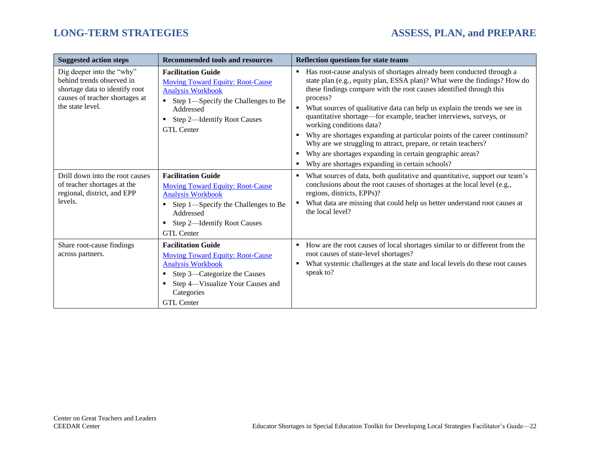| <b>Suggested action steps</b>                                                                                                                  | <b>Recommended tools and resources</b>                                                                                                                                                                                     | <b>Reflection questions for state teams</b>                                                                                                                                                                                                                                                                                                                                                                                                                                                                                                                                                                                                                                          |
|------------------------------------------------------------------------------------------------------------------------------------------------|----------------------------------------------------------------------------------------------------------------------------------------------------------------------------------------------------------------------------|--------------------------------------------------------------------------------------------------------------------------------------------------------------------------------------------------------------------------------------------------------------------------------------------------------------------------------------------------------------------------------------------------------------------------------------------------------------------------------------------------------------------------------------------------------------------------------------------------------------------------------------------------------------------------------------|
| Dig deeper into the "why"<br>behind trends observed in<br>shortage data to identify root<br>causes of teacher shortages at<br>the state level. | <b>Facilitation Guide</b><br><b>Moving Toward Equity: Root-Cause</b><br><b>Analysis Workbook</b><br>Step 1—Specify the Challenges to Be<br>$\blacksquare$<br>Addressed<br>Step 2-Identify Root Causes<br><b>GTL</b> Center | Has root-cause analysis of shortages already been conducted through a<br>state plan (e.g., equity plan, ESSA plan)? What were the findings? How do<br>these findings compare with the root causes identified through this<br>process?<br>• What sources of qualitative data can help us explain the trends we see in<br>quantitative shortage—for example, teacher interviews, surveys, or<br>working conditions data?<br>Why are shortages expanding at particular points of the career continuum?<br>Why are we struggling to attract, prepare, or retain teachers?<br>Why are shortages expanding in certain geographic areas?<br>Why are shortages expanding in certain schools? |
| Drill down into the root causes<br>of teacher shortages at the<br>regional, district, and EPP<br>levels.                                       | <b>Facilitation Guide</b><br><b>Moving Toward Equity: Root-Cause</b><br><b>Analysis Workbook</b><br>Step 1—Specify the Challenges to Be<br>Addressed<br>Step 2-Identify Root Causes<br>٠<br><b>GTL</b> Center              | What sources of data, both qualitative and quantitative, support our team's<br>conclusions about the root causes of shortages at the local level (e.g.,<br>regions, districts, EPPs)?<br>What data are missing that could help us better understand root causes at<br>the local level?                                                                                                                                                                                                                                                                                                                                                                                               |
| Share root-cause findings<br>across partners.                                                                                                  | <b>Facilitation Guide</b><br><b>Moving Toward Equity: Root-Cause</b><br><b>Analysis Workbook</b><br>Step 3—Categorize the Causes<br>٠<br>Step 4—Visualize Your Causes and<br>Categories<br><b>GTL Center</b>               | • How are the root causes of local shortages similar to or different from the<br>root causes of state-level shortages?<br>What systemic challenges at the state and local levels do these root causes<br>speak to?                                                                                                                                                                                                                                                                                                                                                                                                                                                                   |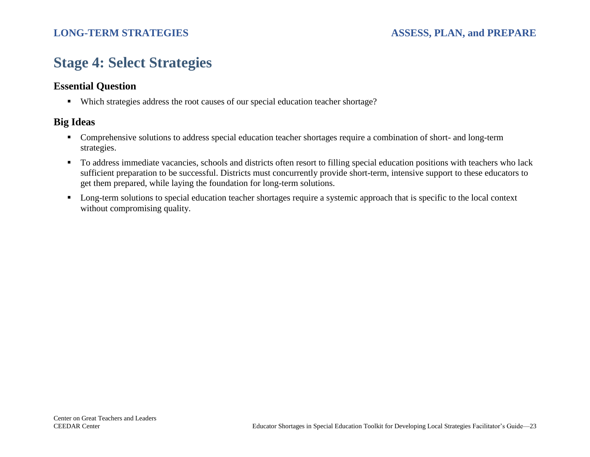## <span id="page-25-0"></span>**Stage 4: Select Strategies**

## **Essential Question**

■ Which strategies address the root causes of our special education teacher shortage?

- Comprehensive solutions to address special education teacher shortages require a combination of short- and long-term strategies.
- To address immediate vacancies, schools and districts often resort to filling special education positions with teachers who lack sufficient preparation to be successful. Districts must concurrently provide short-term, intensive support to these educators to get them prepared, while laying the foundation for long-term solutions.
- Long-term solutions to special education teacher shortages require a systemic approach that is specific to the local context without compromising quality.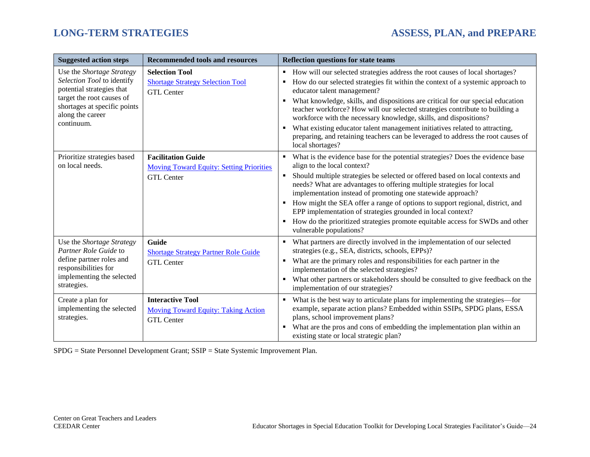| <b>Suggested action steps</b>                                                                                                                                                       | <b>Recommended tools and resources</b>                                                            | <b>Reflection questions for state teams</b>                                                                                                                                                                                                                                                                                                                                                                                                                                                                                                                                                                                        |
|-------------------------------------------------------------------------------------------------------------------------------------------------------------------------------------|---------------------------------------------------------------------------------------------------|------------------------------------------------------------------------------------------------------------------------------------------------------------------------------------------------------------------------------------------------------------------------------------------------------------------------------------------------------------------------------------------------------------------------------------------------------------------------------------------------------------------------------------------------------------------------------------------------------------------------------------|
| Use the Shortage Strategy<br>Selection Tool to identify<br>potential strategies that<br>target the root causes of<br>shortages at specific points<br>along the career<br>continuum. | <b>Selection Tool</b><br><b>Shortage Strategy Selection Tool</b><br><b>GTL Center</b>             | How will our selected strategies address the root causes of local shortages?<br>٠<br>How do our selected strategies fit within the context of a systemic approach to<br>educator talent management?<br>What knowledge, skills, and dispositions are critical for our special education<br>teacher workforce? How will our selected strategies contribute to building a<br>workforce with the necessary knowledge, skills, and dispositions?<br>What existing educator talent management initiatives related to attracting,<br>preparing, and retaining teachers can be leveraged to address the root causes of<br>local shortages? |
| Prioritize strategies based<br>on local needs.                                                                                                                                      | <b>Facilitation Guide</b><br><b>Moving Toward Equity: Setting Priorities</b><br><b>GTL Center</b> | What is the evidence base for the potential strategies? Does the evidence base<br>align to the local context?<br>Should multiple strategies be selected or offered based on local contexts and<br>needs? What are advantages to offering multiple strategies for local<br>implementation instead of promoting one statewide approach?<br>How might the SEA offer a range of options to support regional, district, and<br>EPP implementation of strategies grounded in local context?<br>How do the prioritized strategies promote equitable access for SWDs and other<br>vulnerable populations?                                  |
| Use the Shortage Strategy<br>Partner Role Guide to<br>define partner roles and<br>responsibilities for<br>implementing the selected<br>strategies.                                  | Guide<br><b>Shortage Strategy Partner Role Guide</b><br><b>GTL Center</b>                         | What partners are directly involved in the implementation of our selected<br>strategies (e.g., SEA, districts, schools, EPPs)?<br>What are the primary roles and responsibilities for each partner in the<br>implementation of the selected strategies?<br>What other partners or stakeholders should be consulted to give feedback on the<br>implementation of our strategies?                                                                                                                                                                                                                                                    |
| Create a plan for<br>implementing the selected<br>strategies.                                                                                                                       | <b>Interactive Tool</b><br><b>Moving Toward Equity: Taking Action</b><br><b>GTL Center</b>        | What is the best way to articulate plans for implementing the strategies-for<br>example, separate action plans? Embedded within SSIPs, SPDG plans, ESSA<br>plans, school improvement plans?<br>What are the pros and cons of embedding the implementation plan within an<br>existing state or local strategic plan?                                                                                                                                                                                                                                                                                                                |

SPDG = State Personnel Development Grant; SSIP = State Systemic Improvement Plan.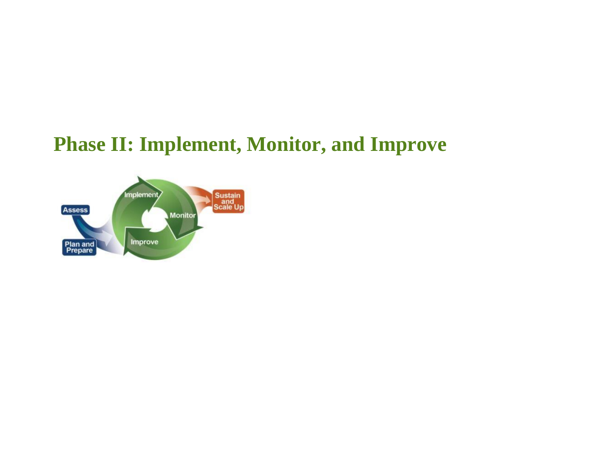# <span id="page-27-0"></span>**Phase II: Implement, Monitor, and Improve**

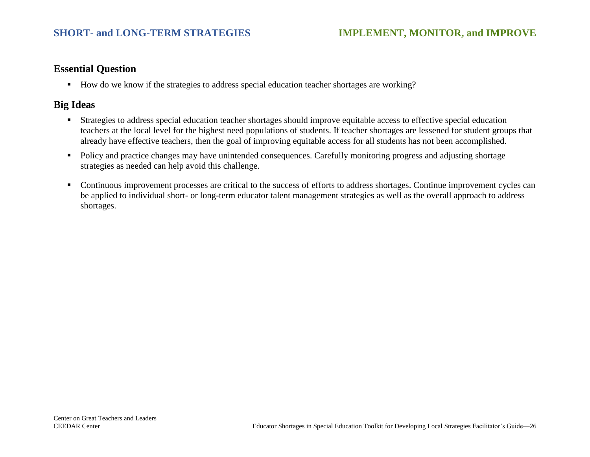## **Essential Question**

■ How do we know if the strategies to address special education teacher shortages are working?

- **EXECUTE:** Strategies to address special education teacher shortages should improve equitable access to effective special education teachers at the local level for the highest need populations of students. If teacher shortages are lessened for student groups that already have effective teachers, then the goal of improving equitable access for all students has not been accomplished.
- Policy and practice changes may have unintended consequences. Carefully monitoring progress and adjusting shortage strategies as needed can help avoid this challenge.
- Continuous improvement processes are critical to the success of efforts to address shortages. Continue improvement cycles can be applied to individual short- or long-term educator talent management strategies as well as the overall approach to address shortages.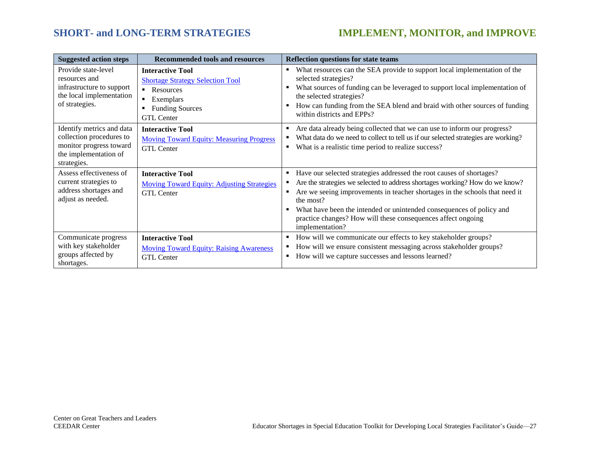## **SHORT- and LONG-TERM STRATEGIES IMPLEMENT, MONITOR, and IMPROVE**

| <b>Suggested action steps</b>                                                                                            | <b>Recommended tools and resources</b>                                                                                                        | <b>Reflection questions for state teams</b>                                                                                                                                                                                                                                                                                                                                                                           |
|--------------------------------------------------------------------------------------------------------------------------|-----------------------------------------------------------------------------------------------------------------------------------------------|-----------------------------------------------------------------------------------------------------------------------------------------------------------------------------------------------------------------------------------------------------------------------------------------------------------------------------------------------------------------------------------------------------------------------|
| Provide state-level<br>resources and<br>infrastructure to support<br>the local implementation<br>of strategies.          | <b>Interactive Tool</b><br><b>Shortage Strategy Selection Tool</b><br>• Resources<br>Exemplars<br><b>Funding Sources</b><br><b>GTL</b> Center | What resources can the SEA provide to support local implementation of the<br>٠<br>selected strategies?<br>What sources of funding can be leveraged to support local implementation of<br>$\blacksquare$<br>the selected strategies?<br>How can funding from the SEA blend and braid with other sources of funding<br>within districts and EPPs?                                                                       |
| Identify metrics and data<br>collection procedures to<br>monitor progress toward<br>the implementation of<br>strategies. | <b>Interactive Tool</b><br><b>Moving Toward Equity: Measuring Progress</b><br><b>GTL Center</b>                                               | Are data already being collected that we can use to inform our progress?<br>What data do we need to collect to tell us if our selected strategies are working?<br>What is a realistic time period to realize success?<br>٠                                                                                                                                                                                            |
| Assess effectiveness of<br>current strategies to<br>address shortages and<br>adjust as needed.                           | <b>Interactive Tool</b><br><b>Moving Toward Equity: Adjusting Strategies</b><br><b>GTL</b> Center                                             | Have our selected strategies addressed the root causes of shortages?<br>٠<br>Are the strategies we selected to address shortages working? How do we know?<br>Are we seeing improvements in teacher shortages in the schools that need it<br>٠<br>the most?<br>What have been the intended or unintended consequences of policy and<br>practice changes? How will these consequences affect ongoing<br>implementation? |
| Communicate progress<br>with key stakeholder<br>groups affected by<br>shortages.                                         | <b>Interactive Tool</b><br><b>Moving Toward Equity: Raising Awareness</b><br><b>GTL Center</b>                                                | How will we communicate our effects to key stakeholder groups?<br>How will we ensure consistent messaging across stakeholder groups?<br>How will we capture successes and lessons learned?<br>٠                                                                                                                                                                                                                       |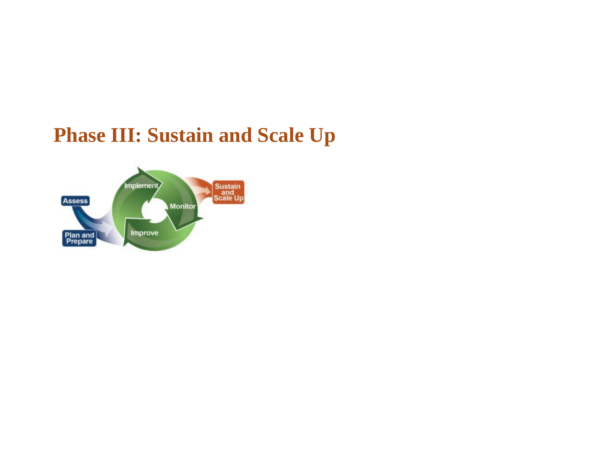# <span id="page-30-0"></span>**Phase III: Sustain and Scale Up**

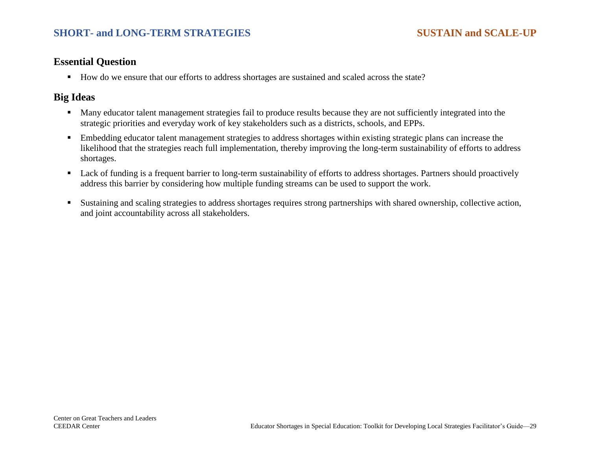## **SHORT- and LONG-TERM STRATEGIES SUSTAIN and SCALE-UP**

### **Essential Question**

■ How do we ensure that our efforts to address shortages are sustained and scaled across the state?

- Many educator talent management strategies fail to produce results because they are not sufficiently integrated into the strategic priorities and everyday work of key stakeholders such as a districts, schools, and EPPs.
- Embedding educator talent management strategies to address shortages within existing strategic plans can increase the likelihood that the strategies reach full implementation, thereby improving the long-term sustainability of efforts to address shortages.
- Lack of funding is a frequent barrier to long-term sustainability of efforts to address shortages. Partners should proactively address this barrier by considering how multiple funding streams can be used to support the work.
- Sustaining and scaling strategies to address shortages requires strong partnerships with shared ownership, collective action, and joint accountability across all stakeholders.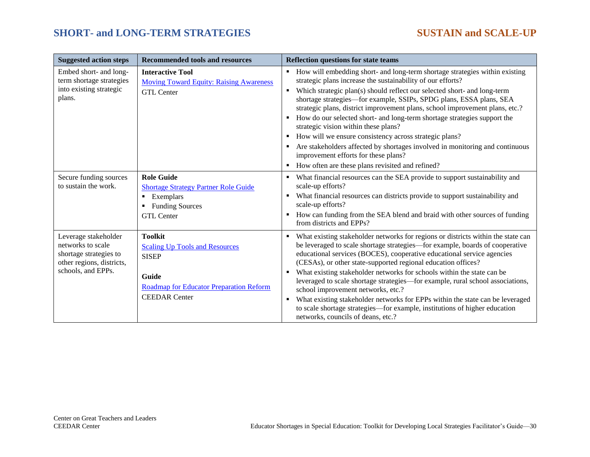## **SHORT- and LONG-TERM STRATEGIES SUSTAIN and SCALE-UP**

| <b>Suggested action steps</b>                                                                                          | <b>Recommended tools and resources</b>                                                                                                                     | <b>Reflection questions for state teams</b>                                                                                                                                                                                                                                                                                                                                                                                                                                                                                                                                                                                                                                                                                                                                 |
|------------------------------------------------------------------------------------------------------------------------|------------------------------------------------------------------------------------------------------------------------------------------------------------|-----------------------------------------------------------------------------------------------------------------------------------------------------------------------------------------------------------------------------------------------------------------------------------------------------------------------------------------------------------------------------------------------------------------------------------------------------------------------------------------------------------------------------------------------------------------------------------------------------------------------------------------------------------------------------------------------------------------------------------------------------------------------------|
| Embed short- and long-<br>term shortage strategies<br>into existing strategic<br>plans.                                | <b>Interactive Tool</b><br><b>Moving Toward Equity: Raising Awareness</b><br><b>GTL Center</b>                                                             | How will embedding short- and long-term shortage strategies within existing<br>strategic plans increase the sustainability of our efforts?<br>Which strategic plan(s) should reflect our selected short- and long-term<br>$\blacksquare$<br>shortage strategies-for example, SSIPs, SPDG plans, ESSA plans, SEA<br>strategic plans, district improvement plans, school improvement plans, etc.?<br>How do our selected short- and long-term shortage strategies support the<br>$\blacksquare$<br>strategic vision within these plans?<br>How will we ensure consistency across strategic plans?<br>Are stakeholders affected by shortages involved in monitoring and continuous<br>improvement efforts for these plans?<br>How often are these plans revisited and refined? |
| Secure funding sources<br>to sustain the work.                                                                         | <b>Role Guide</b><br><b>Shortage Strategy Partner Role Guide</b><br>• Exemplars<br><b>Funding Sources</b><br><b>GTL Center</b>                             | What financial resources can the SEA provide to support sustainability and<br>scale-up efforts?<br>What financial resources can districts provide to support sustainability and<br>٠<br>scale-up efforts?<br>How can funding from the SEA blend and braid with other sources of funding<br>from districts and EPPs?                                                                                                                                                                                                                                                                                                                                                                                                                                                         |
| Leverage stakeholder<br>networks to scale<br>shortage strategies to<br>other regions, districts,<br>schools, and EPPs. | <b>Toolkit</b><br><b>Scaling Up Tools and Resources</b><br><b>SISEP</b><br><b>Guide</b><br>Roadmap for Educator Preparation Reform<br><b>CEEDAR</b> Center | What existing stakeholder networks for regions or districts within the state can<br>be leveraged to scale shortage strategies-for example, boards of cooperative<br>educational services (BOCES), cooperative educational service agencies<br>(CESAs), or other state-supported regional education offices?<br>What existing stakeholder networks for schools within the state can be<br>٠<br>leveraged to scale shortage strategies-for example, rural school associations,<br>school improvement networks, etc.?<br>What existing stakeholder networks for EPPs within the state can be leveraged<br>٠<br>to scale shortage strategies—for example, institutions of higher education<br>networks, councils of deans, etc.?                                                |